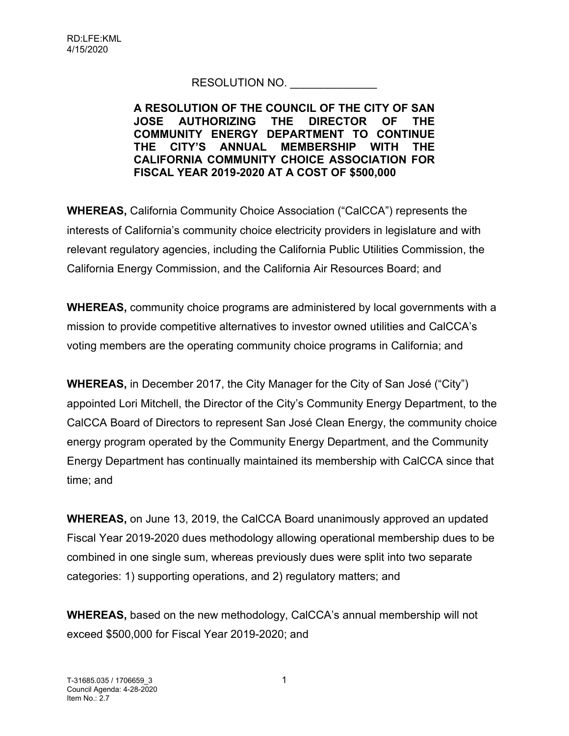## RESOLUTION NO.

## **A RESOLUTION OF THE COUNCIL OF THE CITY OF SAN JOSE AUTHORIZING THE DIRECTOR OF THE COMMUNITY ENERGY DEPARTMENT TO CONTINUE THE CITY'S ANNUAL MEMBERSHIP WITH THE CALIFORNIA COMMUNITY CHOICE ASSOCIATION FOR FISCAL YEAR 2019-2020 AT A COST OF \$500,000**

**WHEREAS,** California Community Choice Association ("CalCCA") represents the interests of California's community choice electricity providers in legislature and with relevant regulatory agencies, including the California Public Utilities Commission, the California Energy Commission, and the California Air Resources Board; and

**WHEREAS,** community choice programs are administered by local governments with a mission to provide competitive alternatives to investor owned utilities and CalCCA's voting members are the operating community choice programs in California; and

**WHEREAS,** in December 2017, the City Manager for the City of San José ("City") appointed Lori Mitchell, the Director of the City's Community Energy Department, to the CalCCA Board of Directors to represent San José Clean Energy, the community choice energy program operated by the Community Energy Department, and the Community Energy Department has continually maintained its membership with CalCCA since that time; and

**WHEREAS,** on June 13, 2019, the CalCCA Board unanimously approved an updated Fiscal Year 2019-2020 dues methodology allowing operational membership dues to be combined in one single sum, whereas previously dues were split into two separate categories: 1) supporting operations, and 2) regulatory matters; and

**WHEREAS,** based on the new methodology, CalCCA's annual membership will not exceed \$500,000 for Fiscal Year 2019-2020; and